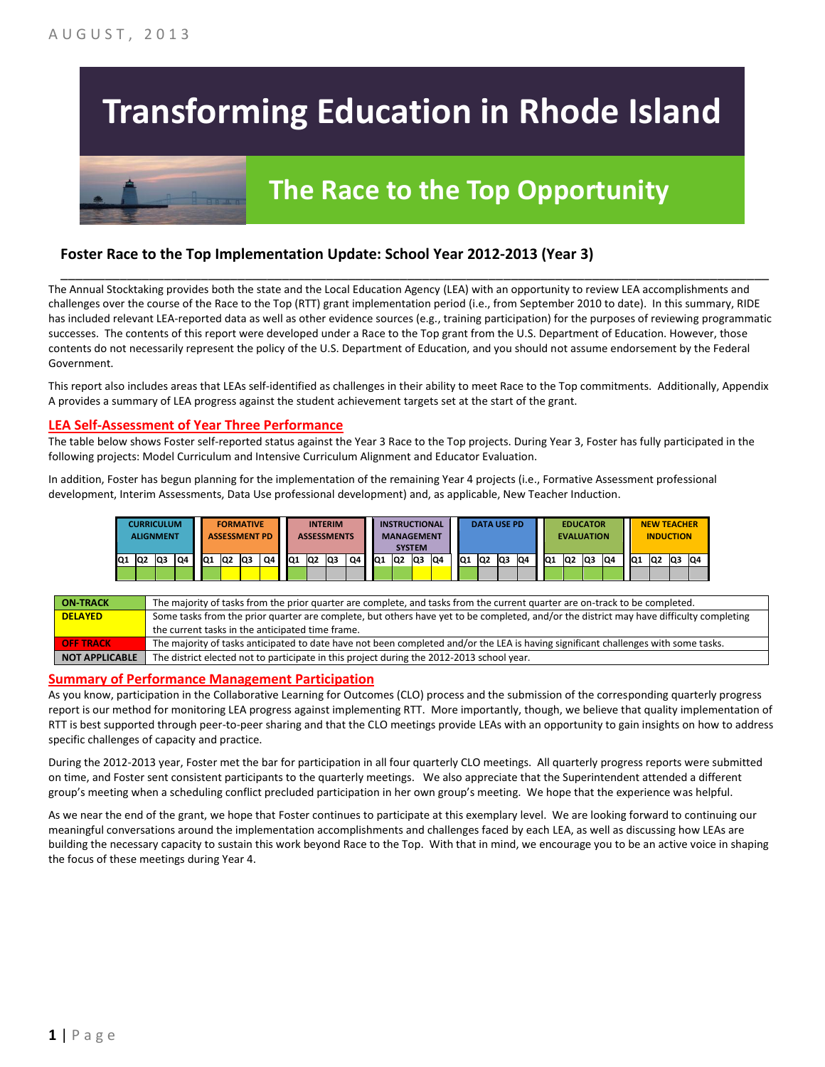# **Transforming Education in Rhode Island**

## **The Race to the Top Opportunity**

#### **Foster Race to the Top Implementation Update: School Year 2012-2013 (Year 3)**

The Annual Stocktaking provides both the state and the Local Education Agency (LEA) with an opportunity to review LEA accomplishments and challenges over the course of the Race to the Top (RTT) grant implementation period (i.e., from September 2010 to date). In this summary, RIDE has included relevant LEA-reported data as well as other evidence sources (e.g., training participation) for the purposes of reviewing programmatic successes. The contents of this report were developed under a Race to the Top grant from the U.S. Department of Education. However, those contents do not necessarily represent the policy of the U.S. Department of Education, and you should not assume endorsement by the Federal Government.

\_\_\_\_\_\_\_\_\_\_\_\_\_\_\_\_\_\_\_\_\_\_\_\_\_\_\_\_\_\_\_\_\_\_\_\_\_\_\_\_\_\_\_\_\_\_\_\_\_\_\_\_\_\_\_\_\_\_\_\_\_\_\_\_\_\_\_\_\_\_\_\_\_\_\_\_\_\_\_\_\_\_\_\_\_\_\_\_\_\_\_\_\_\_\_\_

This report also includes areas that LEAs self-identified as challenges in their ability to meet Race to the Top commitments. Additionally, Appendix A provides a summary of LEA progress against the student achievement targets set at the start of the grant.

#### **LEA Self-Assessment of Year Three Performance**

The table below shows Foster self-reported status against the Year 3 Race to the Top projects. During Year 3, Foster has fully participated in the following projects: Model Curriculum and Intensive Curriculum Alignment and Educator Evaluation.

In addition, Foster has begun planning for the implementation of the remaining Year 4 projects (i.e., Formative Assessment professional development, Interim Assessments, Data Use professional development) and, as applicable, New Teacher Induction.

|       | CURRICULUM<br><b>ALIGNMENT</b> |    |    |                 | <b>FORMATIVE</b><br><b>ASSESSMENT PD</b> |    |     |                 | <b>INTERIM</b><br><b>ASSESSMENTS</b> |    |                 |     | <b>INSTRUCTIONAL</b><br><b>MANAGEMENT</b><br><b>SYSTEM</b> |    |    |                | <b>DATA USE PD</b> |    |     | <b>EVALUATION</b> | <b>EDUCATOR</b> |    |     | <b>NEW TEACHER</b><br><b>INDUCTION</b><br>Q2 |    |    |  |
|-------|--------------------------------|----|----|-----------------|------------------------------------------|----|-----|-----------------|--------------------------------------|----|-----------------|-----|------------------------------------------------------------|----|----|----------------|--------------------|----|-----|-------------------|-----------------|----|-----|----------------------------------------------|----|----|--|
| Q1 Q2 | Q3                             | Q4 | Q1 | lQ <sub>2</sub> | Q3                                       | Q4 | IQ1 | IQ <sub>2</sub> | lQЗ                                  | Q4 | IQ <sub>1</sub> | IQ2 | lQ3                                                        | Q4 | Q1 | Q <sub>2</sub> | Q3                 | Q4 | IQ1 | Q <sub>2</sub>    | lQ3             | Q4 | IQ1 |                                              | Q3 | Q4 |  |
|       |                                |    |    |                 |                                          |    |     |                 |                                      |    |                 |     |                                                            |    |    |                |                    |    |     |                   |                 |    |     |                                              |    |    |  |

| <b>ON TRACK</b>       | The majority of tasks from the prior quarter are complete, and tasks from the current quarter are on-track to be completed.             |
|-----------------------|-----------------------------------------------------------------------------------------------------------------------------------------|
| <b>DELAYED</b>        | Some tasks from the prior quarter are complete, but others have yet to be completed, and/or the district may have difficulty completing |
|                       | the current tasks in the anticipated time frame.                                                                                        |
| <b>OFF TRACK</b>      | The majority of tasks anticipated to date have not been completed and/or the LEA is having significant challenges with some tasks.      |
| <b>NOT APPLICABLE</b> | The district elected not to participate in this project during the 2012-2013 school year.                                               |

#### **Summary of Performance Management Participation**

As you know, participation in the Collaborative Learning for Outcomes (CLO) process and the submission of the corresponding quarterly progress report is our method for monitoring LEA progress against implementing RTT. More importantly, though, we believe that quality implementation of RTT is best supported through peer-to-peer sharing and that the CLO meetings provide LEAs with an opportunity to gain insights on how to address specific challenges of capacity and practice.

During the 2012-2013 year, Foster met the bar for participation in all four quarterly CLO meetings. All quarterly progress reports were submitted on time, and Foster sent consistent participants to the quarterly meetings. We also appreciate that the Superintendent attended a different group's meeting when a scheduling conflict precluded participation in her own group's meeting. We hope that the experience was helpful.

As we near the end of the grant, we hope that Foster continues to participate at this exemplary level. We are looking forward to continuing our meaningful conversations around the implementation accomplishments and challenges faced by each LEA, as well as discussing how LEAs are building the necessary capacity to sustain this work beyond Race to the Top. With that in mind, we encourage you to be an active voice in shaping the focus of these meetings during Year 4.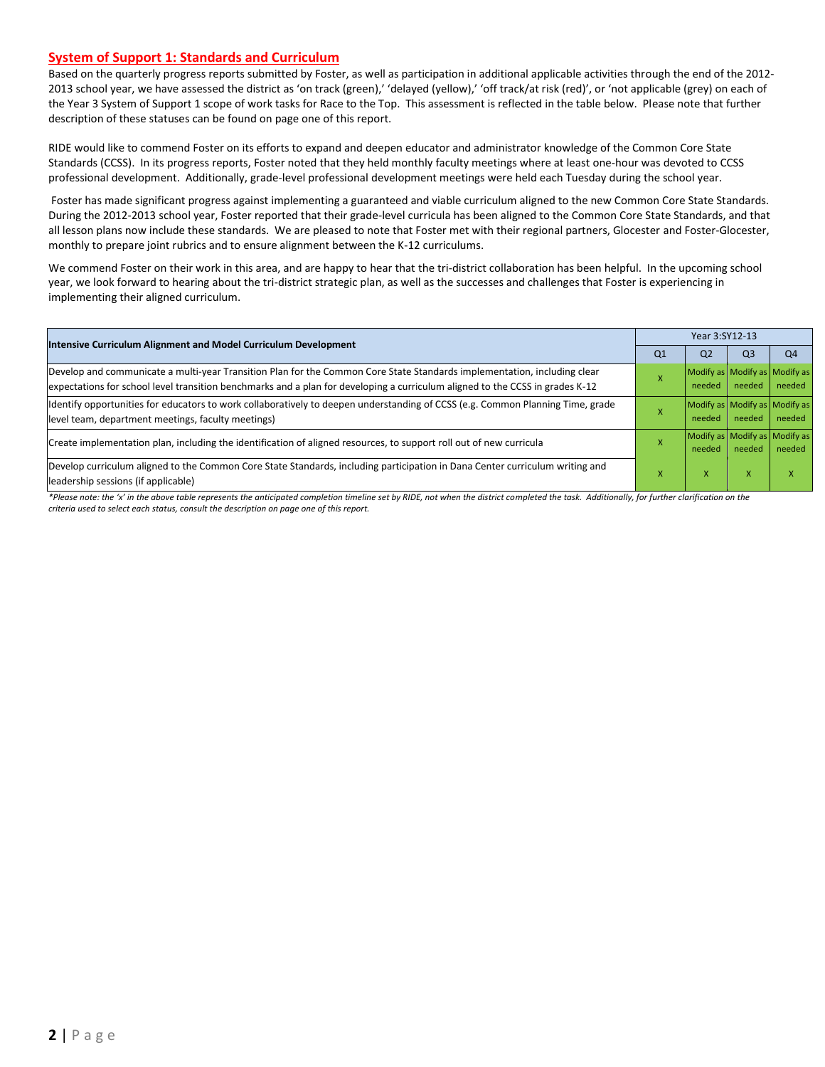#### **System of Support 1: Standards and Curriculum**

Based on the quarterly progress reports submitted by Foster, as well as participation in additional applicable activities through the end of the 2012- 2013 school year, we have assessed the district as 'on track (green),' 'delayed (yellow),' 'off track/at risk (red)', or 'not applicable (grey) on each of the Year 3 System of Support 1 scope of work tasks for Race to the Top. This assessment is reflected in the table below. Please note that further description of these statuses can be found on page one of this report.

RIDE would like to commend Foster on its efforts to expand and deepen educator and administrator knowledge of the Common Core State Standards (CCSS). In its progress reports, Foster noted that they held monthly faculty meetings where at least one-hour was devoted to CCSS professional development. Additionally, grade-level professional development meetings were held each Tuesday during the school year.

Foster has made significant progress against implementing a guaranteed and viable curriculum aligned to the new Common Core State Standards. During the 2012-2013 school year, Foster reported that their grade-level curricula has been aligned to the Common Core State Standards, and that all lesson plans now include these standards. We are pleased to note that Foster met with their regional partners, Glocester and Foster-Glocester, monthly to prepare joint rubrics and to ensure alignment between the K-12 curriculums.

We commend Foster on their work in this area, and are happy to hear that the tri-district collaboration has been helpful. In the upcoming school year, we look forward to hearing about the tri-district strategic plan, as well as the successes and challenges that Foster is experiencing in implementing their aligned curriculum.

| <b>Intensive Curriculum Alignment and Model Curriculum Development</b>                                                                                                                                                                                    |                    | Year 3:SY12-13                          |                |                |  |  |  |
|-----------------------------------------------------------------------------------------------------------------------------------------------------------------------------------------------------------------------------------------------------------|--------------------|-----------------------------------------|----------------|----------------|--|--|--|
|                                                                                                                                                                                                                                                           | Q <sub>1</sub>     | Q <sub>2</sub>                          | Q <sub>3</sub> | Q <sub>4</sub> |  |  |  |
| Develop and communicate a multi-year Transition Plan for the Common Core State Standards implementation, including clear<br>expectations for school level transition benchmarks and a plan for developing a curriculum aligned to the CCSS in grades K-12 |                    | Modify as Modify as Modify as<br>needed | needed         | needed         |  |  |  |
| ldentify opportunities for educators to work collaboratively to deepen understanding of CCSS (e.g. Common Planning Time, grade<br>level team, department meetings, faculty meetings)                                                                      | A                  | Modify as Modify as Modify as<br>needed | needed         | needed         |  |  |  |
| Create implementation plan, including the identification of aligned resources, to support roll out of new curricula                                                                                                                                       | $\mathbf{\Lambda}$ | Modify as Modify as Modify as<br>needed | needed         | needed         |  |  |  |
| Develop curriculum aligned to the Common Core State Standards, including participation in Dana Center curriculum writing and<br>leadership sessions (if applicable)                                                                                       | ^                  | x                                       | X              |                |  |  |  |

*\*Please note: the 'x' in the above table represents the anticipated completion timeline set by RIDE, not when the district completed the task. Additionally, for further clarification on the criteria used to select each status, consult the description on page one of this report.*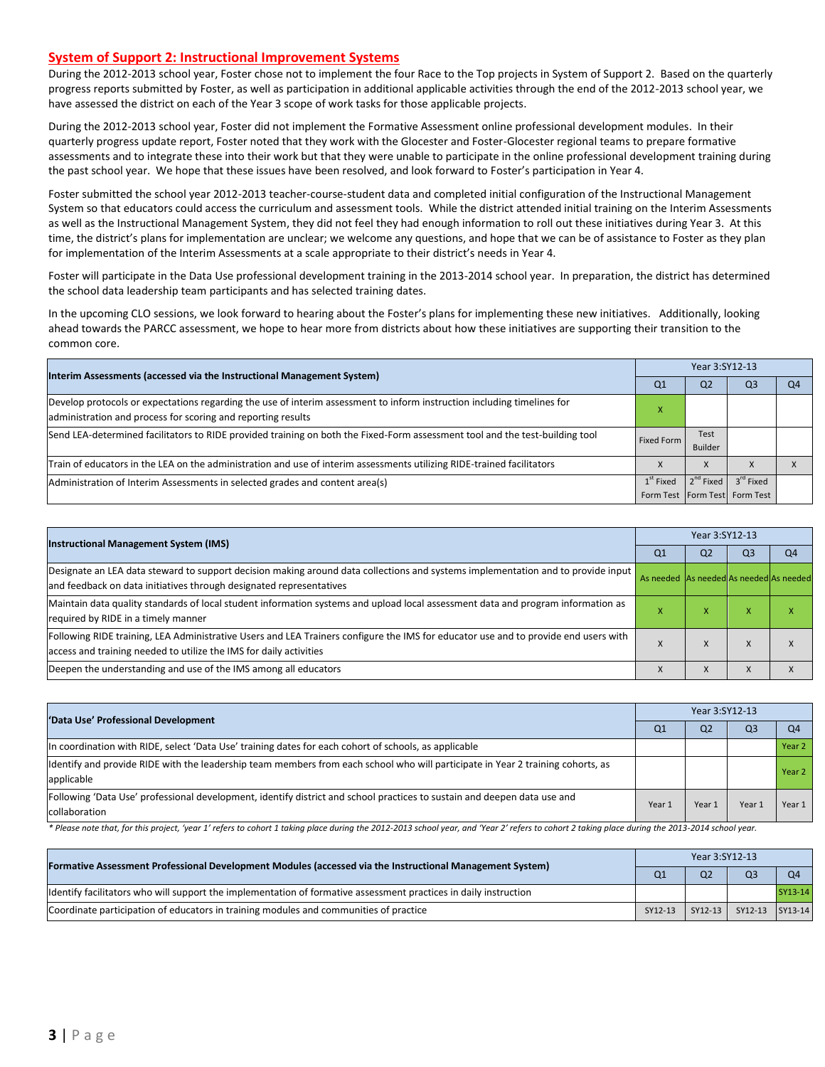#### **System of Support 2: Instructional Improvement Systems**

During the 2012-2013 school year, Foster chose not to implement the four Race to the Top projects in System of Support 2. Based on the quarterly progress reports submitted by Foster, as well as participation in additional applicable activities through the end of the 2012-2013 school year, we have assessed the district on each of the Year 3 scope of work tasks for those applicable projects.

During the 2012-2013 school year, Foster did not implement the Formative Assessment online professional development modules. In their quarterly progress update report, Foster noted that they work with the Glocester and Foster-Glocester regional teams to prepare formative assessments and to integrate these into their work but that they were unable to participate in the online professional development training during the past school year. We hope that these issues have been resolved, and look forward to Foster's participation in Year 4.

Foster submitted the school year 2012-2013 teacher-course-student data and completed initial configuration of the Instructional Management System so that educators could access the curriculum and assessment tools. While the district attended initial training on the Interim Assessments as well as the Instructional Management System, they did not feel they had enough information to roll out these initiatives during Year 3. At this time, the district's plans for implementation are unclear; we welcome any questions, and hope that we can be of assistance to Foster as they plan for implementation of the Interim Assessments at a scale appropriate to their district's needs in Year 4.

Foster will participate in the Data Use professional development training in the 2013-2014 school year. In preparation, the district has determined the school data leadership team participants and has selected training dates.

In the upcoming CLO sessions, we look forward to hearing about the Foster's plans for implementing these new initiatives. Additionally, looking ahead towards the PARCC assessment, we hope to hear more from districts about how these initiatives are supporting their transition to the common core.

| Interim Assessments (accessed via the Instructional Management System)                                                                                                                  |             |                 |                                                            |    |
|-----------------------------------------------------------------------------------------------------------------------------------------------------------------------------------------|-------------|-----------------|------------------------------------------------------------|----|
|                                                                                                                                                                                         | Q1          | Q <sub>2</sub>  | Q3                                                         | Q4 |
| Develop protocols or expectations regarding the use of interim assessment to inform instruction including timelines for<br>administration and process for scoring and reporting results |             |                 |                                                            |    |
| Send LEA-determined facilitators to RIDE provided training on both the Fixed-Form assessment tool and the test-building tool                                                            | Fixed Form  | Test<br>Builder |                                                            |    |
| Train of educators in the LEA on the administration and use of interim assessments utilizing RIDE-trained facilitators                                                                  |             |                 |                                                            |    |
| Administration of Interim Assessments in selected grades and content area(s)                                                                                                            | $1st$ Fixed | $2^{nd}$ Fixed  | 3 <sup>rd</sup> Fixed<br>Form Test   Form Test   Form Test |    |

| <b>Instructional Management System (IMS)</b>                                                                                                                                                              |                                         | Year 3:SY12-13 |                               |                |  |  |  |
|-----------------------------------------------------------------------------------------------------------------------------------------------------------------------------------------------------------|-----------------------------------------|----------------|-------------------------------|----------------|--|--|--|
|                                                                                                                                                                                                           | Q <sub>1</sub>                          | Q <sub>2</sub> | Q <sub>3</sub>                | Q <sub>4</sub> |  |  |  |
| Designate an LEA data steward to support decision making around data collections and systems implementation and to provide input  <br>and feedback on data initiatives through designated representatives | As needed As needed As needed As needed |                |                               |                |  |  |  |
| Maintain data quality standards of local student information systems and upload local assessment data and program information as<br>required by RIDE in a timely manner                                   |                                         | x              | $\overline{\phantom{a}}$<br>x | x              |  |  |  |
| Following RIDE training, LEA Administrative Users and LEA Trainers configure the IMS for educator use and to provide end users with<br>access and training needed to utilize the IMS for daily activities |                                         | X              | $\lambda$                     | X              |  |  |  |
| Deepen the understanding and use of the IMS among all educators                                                                                                                                           |                                         | X              | $\lambda$                     | X              |  |  |  |

| 'Data Use' Professional Development                                                                                             |        | Year 3:SY12-13 |        |                   |  |  |  |
|---------------------------------------------------------------------------------------------------------------------------------|--------|----------------|--------|-------------------|--|--|--|
|                                                                                                                                 | Q1     | Q <sub>2</sub> | Q3     | Q <sub>4</sub>    |  |  |  |
| In coordination with RIDE, select 'Data Use' training dates for each cohort of schools, as applicable                           |        |                |        | Year 2            |  |  |  |
| Identify and provide RIDE with the leadership team members from each school who will participate in Year 2 training cohorts, as |        |                |        | Year <sub>2</sub> |  |  |  |
| applicable                                                                                                                      |        |                |        |                   |  |  |  |
| Following 'Data Use' professional development, identify district and school practices to sustain and deepen data use and        | Year 1 | Year 1         | Year 1 | Year 1            |  |  |  |
| collaboration                                                                                                                   |        |                |        |                   |  |  |  |

\* Please note that, for this project, 'year 1' refers to cohort 1 taking place during the 2012-2013 school year, and 'Year 2' refers to cohort 2 taking place during the 2013-2014 school year.

| [Formative Assessment Professional Development Modules (accessed via the Instructional Management System)         |         |                |                         |                |
|-------------------------------------------------------------------------------------------------------------------|---------|----------------|-------------------------|----------------|
|                                                                                                                   |         | Q <sub>2</sub> | Q <sub>3</sub>          | O <sub>4</sub> |
| lidentify facilitators who will support the implementation of formative assessment practices in daily instruction |         |                |                         | SY13-14        |
| Coordinate participation of educators in training modules and communities of practice                             | SY12-13 |                | SY12-13 SY12-13 SY13-14 |                |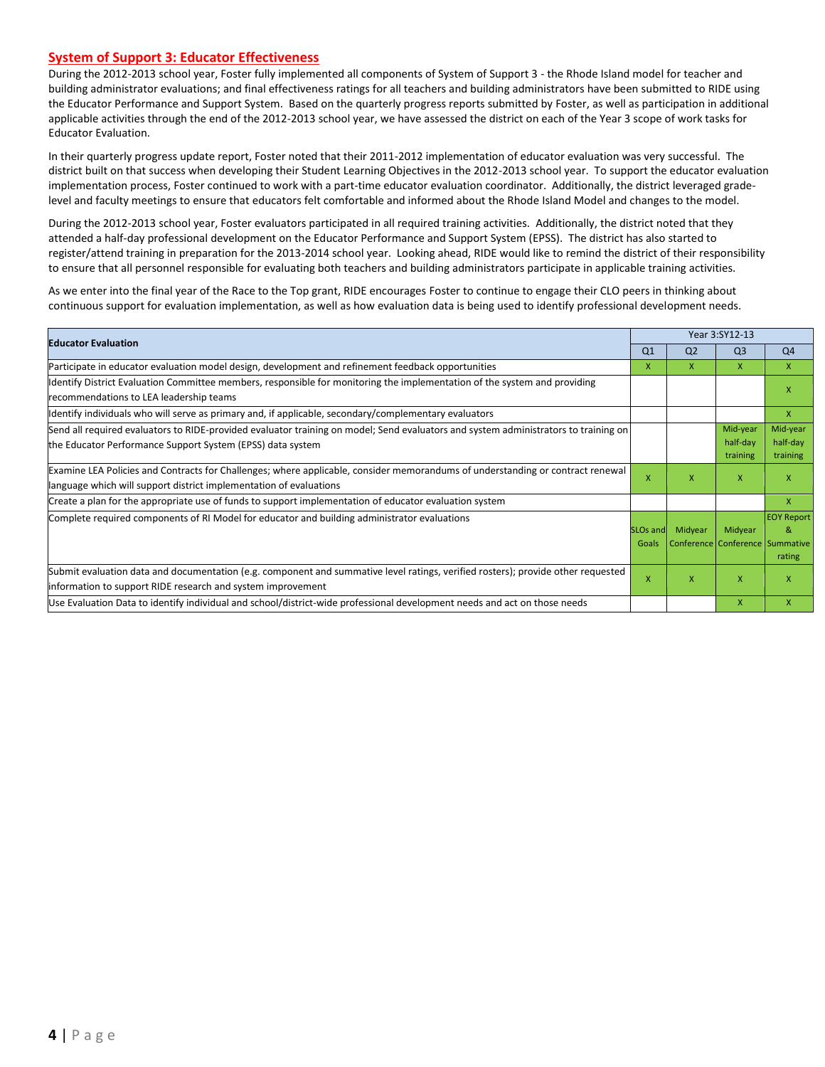#### **System of Support 3: Educator Effectiveness**

During the 2012-2013 school year, Foster fully implemented all components of System of Support 3 - the Rhode Island model for teacher and building administrator evaluations; and final effectiveness ratings for all teachers and building administrators have been submitted to RIDE using the Educator Performance and Support System. Based on the quarterly progress reports submitted by Foster, as well as participation in additional applicable activities through the end of the 2012-2013 school year, we have assessed the district on each of the Year 3 scope of work tasks for Educator Evaluation.

In their quarterly progress update report, Foster noted that their 2011-2012 implementation of educator evaluation was very successful. The district built on that success when developing their Student Learning Objectives in the 2012-2013 school year. To support the educator evaluation implementation process, Foster continued to work with a part-time educator evaluation coordinator. Additionally, the district leveraged gradelevel and faculty meetings to ensure that educators felt comfortable and informed about the Rhode Island Model and changes to the model.

During the 2012-2013 school year, Foster evaluators participated in all required training activities. Additionally, the district noted that they attended a half-day professional development on the Educator Performance and Support System (EPSS). The district has also started to register/attend training in preparation for the 2013-2014 school year. Looking ahead, RIDE would like to remind the district of their responsibility to ensure that all personnel responsible for evaluating both teachers and building administrators participate in applicable training activities.

As we enter into the final year of the Race to the Top grant, RIDE encourages Foster to continue to engage their CLO peers in thinking about continuous support for evaluation implementation, as well as how evaluation data is being used to identify professional development needs.

| <b>Educator Evaluation</b>                                                                                                          |                      |                                 | Year 3:SY12-13 |                   |
|-------------------------------------------------------------------------------------------------------------------------------------|----------------------|---------------------------------|----------------|-------------------|
|                                                                                                                                     | Q <sub>1</sub>       | Q <sub>2</sub>                  | Q <sub>3</sub> | Q4                |
| Participate in educator evaluation model design, development and refinement feedback opportunities                                  | x                    | x                               | X              | X                 |
| Identify District Evaluation Committee members, responsible for monitoring the implementation of the system and providing           |                      |                                 |                | x                 |
| recommendations to LEA leadership teams                                                                                             |                      |                                 |                |                   |
| ldentify individuals who will serve as primary and, if applicable, secondary/complementary evaluators                               |                      |                                 |                | X                 |
| Send all required evaluators to RIDE-provided evaluator training on model; Send evaluators and system administrators to training on |                      |                                 | Mid-year       | Mid-year          |
| the Educator Performance Support System (EPSS) data system                                                                          |                      |                                 | half-day       | half-day          |
|                                                                                                                                     |                      |                                 | training       | training          |
| Examine LEA Policies and Contracts for Challenges; where applicable, consider memorandums of understanding or contract renewal      | $\mathsf{x}$         | x                               | $\mathsf{x}$   | x                 |
| language which will support district implementation of evaluations                                                                  |                      |                                 |                |                   |
| Create a plan for the appropriate use of funds to support implementation of educator evaluation system                              |                      |                                 |                | X                 |
| Complete required components of RI Model for educator and building administrator evaluations                                        |                      |                                 |                | <b>EOY Report</b> |
|                                                                                                                                     | SLO <sub>s</sub> and | Midyear                         | Midyear        | R.                |
|                                                                                                                                     | Goals                | Conference Conference Summative |                |                   |
|                                                                                                                                     |                      |                                 |                | rating            |
| Submit evaluation data and documentation (e.g. component and summative level ratings, verified rosters); provide other requested    | X                    | X                               | X              | X                 |
| information to support RIDE research and system improvement                                                                         |                      |                                 |                |                   |
| Use Evaluation Data to identify individual and school/district-wide professional development needs and act on those needs           |                      |                                 | $\mathsf{x}$   | $\mathsf{x}$      |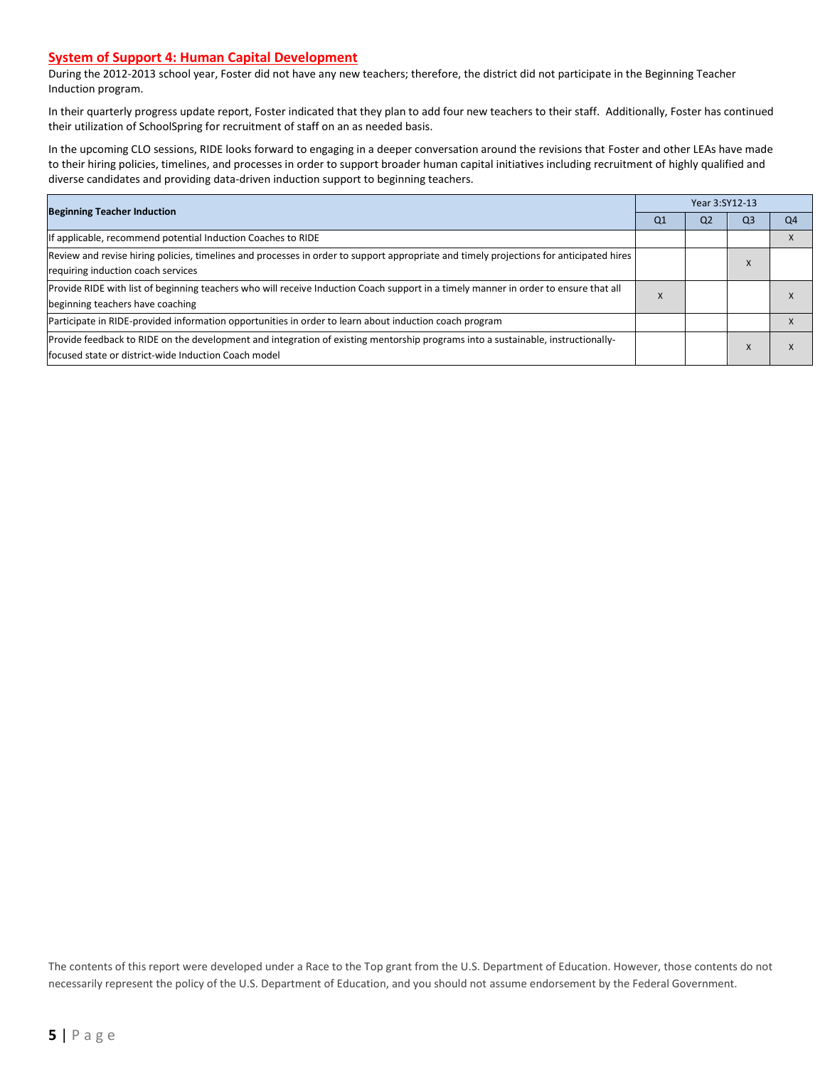#### **System of Support 4: Human Capital Development**

During the 2012-2013 school year, Foster did not have any new teachers; therefore, the district did not participate in the Beginning Teacher Induction program.

In their quarterly progress update report, Foster indicated that they plan to add four new teachers to their staff. Additionally, Foster has continued their utilization of SchoolSpring for recruitment of staff on an as needed basis.

In the upcoming CLO sessions, RIDE looks forward to engaging in a deeper conversation around the revisions that Foster and other LEAs have made to their hiring policies, timelines, and processes in order to support broader human capital initiatives including recruitment of highly qualified and diverse candidates and providing data-driven induction support to beginning teachers.

| <b>Beginning Teacher Induction</b>                                                                                                                                                        |                | Year 3:SY12-13 |                |           |  |  |  |
|-------------------------------------------------------------------------------------------------------------------------------------------------------------------------------------------|----------------|----------------|----------------|-----------|--|--|--|
|                                                                                                                                                                                           | Q <sub>1</sub> | Q <sub>2</sub> | Q <sub>3</sub> | <b>O4</b> |  |  |  |
| If applicable, recommend potential Induction Coaches to RIDE                                                                                                                              |                |                |                |           |  |  |  |
| Review and revise hiring policies, timelines and processes in order to support appropriate and timely projections for anticipated hires<br>requiring induction coach services             |                |                | X              |           |  |  |  |
| Provide RIDE with list of beginning teachers who will receive Induction Coach support in a timely manner in order to ensure that all<br>beginning teachers have coaching                  | ∧              |                |                |           |  |  |  |
| Participate in RIDE-provided information opportunities in order to learn about induction coach program                                                                                    |                |                |                |           |  |  |  |
| Provide feedback to RIDE on the development and integration of existing mentorship programs into a sustainable, instructionally-<br>lfocused state or district-wide Induction Coach model |                |                | X              |           |  |  |  |

The contents of this report were developed under a Race to the Top grant from the U.S. Department of Education. However, those contents do not necessarily represent the policy of the U.S. Department of Education, and you should not assume endorsement by the Federal Government.